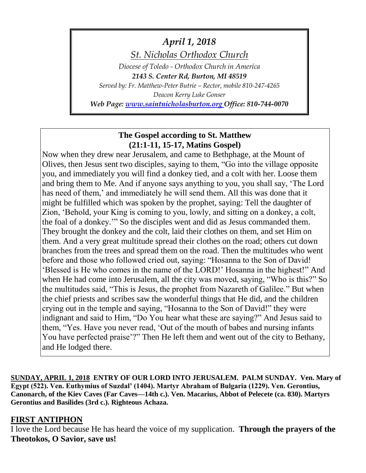*April 1, 2018*

*St. Nicholas Orthodox Church*

*Diocese of Toledo - Orthodox Church in America 2143 S. Center Rd, Burton, MI 48519 Served by: Fr. Matthew-Peter Butrie – Rector, mobile 810-247-4265 Deacon Kerry Luke Gonser*

*Web Page: [www.saintnicholasburton.org](http://www.saintnicholasburton.org/) Office: 810-744-0070*

## **The Gospel according to St. Matthew (21:1-11, 15-17, Matins Gospel)**

Now when they drew near Jerusalem, and came to Bethphage, at the Mount of Olives, then Jesus sent two disciples, saying to them, "Go into the village opposite you, and immediately you will find a donkey tied, and a colt with her. Loose them and bring them to Me. And if anyone says anything to you, you shall say, 'The Lord has need of them,' and immediately he will send them. All this was done that it might be fulfilled which was spoken by the prophet, saying: Tell the daughter of Zion, 'Behold, your King is coming to you, lowly, and sitting on a donkey, a colt, the foal of a donkey.'" So the disciples went and did as Jesus commanded them. They brought the donkey and the colt, laid their clothes on them, and set Him on them. And a very great multitude spread their clothes on the road; others cut down branches from the trees and spread them on the road. Then the multitudes who went before and those who followed cried out, saying: "Hosanna to the Son of David! 'Blessed is He who comes in the name of the LORD!' Hosanna in the highest!" And when He had come into Jerusalem, all the city was moved, saying, "Who is this?" So the multitudes said, "This is Jesus, the prophet from Nazareth of Galilee." But when the chief priests and scribes saw the wonderful things that He did, and the children crying out in the temple and saying, "Hosanna to the Son of David!" they were indignant and said to Him, "Do You hear what these are saying?" And Jesus said to them, "Yes. Have you never read, 'Out of the mouth of babes and nursing infants You have perfected praise'?" Then He left them and went out of the city to Bethany, and He lodged there.

**SUNDAY, APRIL 1, 2018 ENTRY OF OUR LORD INTO JERUSALEM. PALM SUNDAY. Ven. Mary of Egypt (522). Ven. Euthymius of Suzdal' (1404). Martyr Abraham of Bulgaria (1229). Ven. Gerontius, Canonarch, of the Kiev Caves (Far Caves—14th c.). Ven. Macarius, Abbot of Pelecete (ca. 830). Martyrs Gerontius and Basilides (3rd c.). Righteous Achaza.**

# **FIRST ANTIPHON**

I love the Lord because He has heard the voice of my supplication. **Through the prayers of the Theotokos, O Savior, save us!**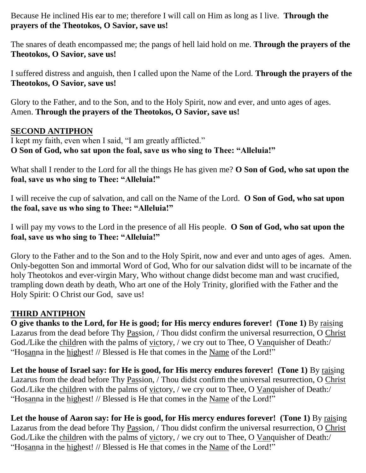Because He inclined His ear to me; therefore I will call on Him as long as I live. **Through the prayers of the Theotokos, O Savior, save us!**

The snares of death encompassed me; the pangs of hell laid hold on me. **Through the prayers of the Theotokos, O Savior, save us!**

I suffered distress and anguish, then I called upon the Name of the Lord. **Through the prayers of the Theotokos, O Savior, save us!**

Glory to the Father, and to the Son, and to the Holy Spirit, now and ever, and unto ages of ages. Amen. **Through the prayers of the Theotokos, O Savior, save us!**

# **SECOND ANTIPHON**

I kept my faith, even when I said, "I am greatly afflicted." **O Son of God, who sat upon the foal, save us who sing to Thee: "Alleluia!"**

What shall I render to the Lord for all the things He has given me? **O Son of God, who sat upon the foal, save us who sing to Thee: "Alleluia!"**

I will receive the cup of salvation, and call on the Name of the Lord. **O Son of God, who sat upon the foal, save us who sing to Thee: "Alleluia!"**

I will pay my vows to the Lord in the presence of all His people. **O Son of God, who sat upon the foal, save us who sing to Thee: "Alleluia!"**

Glory to the Father and to the Son and to the Holy Spirit, now and ever and unto ages of ages. Amen. Only-begotten Son and immortal Word of God, Who for our salvation didst will to be incarnate of the holy Theotokos and ever-virgin Mary, Who without change didst become man and wast crucified, trampling down death by death, Who art one of the Holy Trinity, glorified with the Father and the Holy Spirit: O Christ our God, save us!

# **THIRD ANTIPHON**

**O give thanks to the Lord, for He is good; for His mercy endures forever! (Tone 1)** By raising Lazarus from the dead before Thy Passion, / Thou didst confirm the universal resurrection, O Christ God./Like the children with the palms of victory, / we cry out to Thee, O Vanquisher of Death:/ "Hosanna in the highest! // Blessed is He that comes in the Name of the Lord!"

Let the house of Israel say: for He is good, for His mercy endures forever! (Tone 1) By raising Lazarus from the dead before Thy Passion, / Thou didst confirm the universal resurrection, O Christ God./Like the children with the palms of victory, / we cry out to Thee, O Vanquisher of Death:/ "Hosanna in the highest! // Blessed is He that comes in the Name of the Lord!"

Let the house of Aaron say: for He is good, for His mercy endures forever! (Tone 1) By raising Lazarus from the dead before Thy Passion, / Thou didst confirm the universal resurrection, O Christ God./Like the children with the palms of victory, / we cry out to Thee, O Vanquisher of Death:/ "Hosanna in the highest! // Blessed is He that comes in the Name of the Lord!"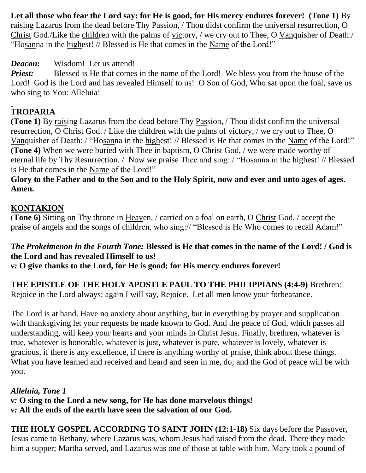Let all those who fear the Lord say: for He is good, for His mercy endures forever! (Tone 1) By raising Lazarus from the dead before Thy Passion, / Thou didst confirm the universal resurrection, O Christ God./Like the children with the palms of victory, / we cry out to Thee, O Vanquisher of Death:/ "Hosanna in the highest! // Blessed is He that comes in the Name of the Lord!"

*Deacon:* Wisdom! Let us attend!

*Priest:* Blessed is He that comes in the name of the Lord! We bless you from the house of the Lord! God is the Lord and has revealed Himself to us! O Son of God, Who sat upon the foal, save us who sing to You: Alleluia!

# **TROPARIA**

**(Tone 1)** By raising Lazarus from the dead before Thy Passion, / Thou didst confirm the universal resurrection, O Christ God. / Like the children with the palms of victory, / we cry out to Thee, O Vanquisher of Death: / "Hosanna in the highest! // Blessed is He that comes in the Name of the Lord!" **(Tone 4)** When we were buried with Thee in baptism, O Christ God, / we were made worthy of eternal life by Thy Resurrection. / Now we praise Thee and sing: / "Hosanna in the highest! // Blessed is He that comes in the Name of the Lord!"

**Glory to the Father and to the Son and to the Holy Spirit, now and ever and unto ages of ages. Amen.**

# **KONTAKION**

(**Tone 6)** Sitting on Thy throne in Heaven, / carried on a foal on earth, O Christ God, / accept the praise of angels and the songs of children, who sing:// "Blessed is He Who comes to recall Adam!"

# *The Prokeimenon in the Fourth Tone:* **Blessed is He that comes in the name of the Lord! / God is the Lord and has revealed Himself to us!**

*v:* **O give thanks to the Lord, for He is good; for His mercy endures forever!**

**THE EPISTLE OF THE HOLY APOSTLE PAUL TO THE PHILIPPIANS (4:4-9)** Brethren: Rejoice in the Lord always; again I will say, Rejoice. Let all men know your forbearance.

The Lord is at hand. Have no anxiety about anything, but in everything by prayer and supplication with thanksgiving let your requests be made known to God. And the peace of God, which passes all understanding, will keep your hearts and your minds in Christ Jesus. Finally, brethren, whatever is true, whatever is honorable, whatever is just, whatever is pure, whatever is lovely, whatever is gracious, if there is any excellence, if there is anything worthy of praise, think about these things. What you have learned and received and heard and seen in me, do; and the God of peace will be with you.

*Alleluia, Tone 1 v:* **O sing to the Lord a new song, for He has done marvelous things!** *v:* **All the ends of the earth have seen the salvation of our God.**

**THE HOLY GOSPEL ACCORDING TO SAINT JOHN (12:1-18)** Six days before the Passover, Jesus came to Bethany, where Lazarus was, whom Jesus had raised from the dead. There they made him a supper; Martha served, and Lazarus was one of those at table with him. Mary took a pound of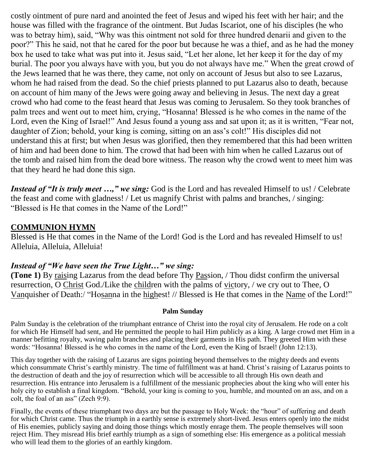costly ointment of pure nard and anointed the feet of Jesus and wiped his feet with her hair; and the house was filled with the fragrance of the ointment. But Judas Iscariot, one of his disciples (he who was to betray him), said, "Why was this ointment not sold for three hundred denarii and given to the poor?" This he said, not that he cared for the poor but because he was a thief, and as he had the money box he used to take what was put into it. Jesus said, "Let her alone, let her keep it for the day of my burial. The poor you always have with you, but you do not always have me." When the great crowd of the Jews learned that he was there, they came, not only on account of Jesus but also to see Lazarus, whom he had raised from the dead. So the chief priests planned to put Lazarus also to death, because on account of him many of the Jews were going away and believing in Jesus. The next day a great crowd who had come to the feast heard that Jesus was coming to Jerusalem. So they took branches of palm trees and went out to meet him, crying, "Hosanna! Blessed is he who comes in the name of the Lord, even the King of Israel!" And Jesus found a young ass and sat upon it; as it is written, "Fear not, daughter of Zion; behold, your king is coming, sitting on an ass's colt!" His disciples did not understand this at first; but when Jesus was glorified, then they remembered that this had been written of him and had been done to him. The crowd that had been with him when he called Lazarus out of the tomb and raised him from the dead bore witness. The reason why the crowd went to meet him was that they heard he had done this sign.

*Instead of "It is truly meet ...," we sing:* God is the Lord and has revealed Himself to us! / Celebrate the feast and come with gladness! / Let us magnify Christ with palms and branches, / singing: "Blessed is He that comes in the Name of the Lord!"

# **COMMUNION HYMN**

Blessed is He that comes in the Name of the Lord! God is the Lord and has revealed Himself to us! Alleluia, Alleluia, Alleluia!

### *Instead of "We have seen the True Light…" we sing:*

**(Tone 1)** By raising Lazarus from the dead before Thy Passion, / Thou didst confirm the universal resurrection, O Christ God./Like the children with the palms of victory, / we cry out to Thee, O Vanquisher of Death:/ "Hosanna in the highest! // Blessed is He that comes in the Name of the Lord!"

#### **Palm Sunday**

Palm Sunday is the celebration of the triumphant entrance of Christ into the royal city of Jerusalem. He rode on a colt for which He Himself had sent, and He permitted the people to hail Him publicly as a king. A large crowd met Him in a manner befitting royalty, waving palm branches and placing their garments in His path. They greeted Him with these words: "Hosanna! Blessed is he who comes in the name of the Lord, even the King of Israel! (John 12:13).

This day together with the raising of Lazarus are signs pointing beyond themselves to the mighty deeds and events which consummate Christ's earthly ministry. The time of fulfillment was at hand. Christ's raising of Lazarus points to the destruction of death and the joy of resurrection which will be accessible to all through His own death and resurrection. His entrance into Jerusalem is a fulfillment of the messianic prophecies about the king who will enter his holy city to establish a final kingdom. "Behold, your king is coming to you, humble, and mounted on an ass, and on a colt, the foal of an ass" (Zech 9:9).

Finally, the events of these triumphant two days are but the passage to Holy Week: the "hour" of suffering and death for which Christ came. Thus the triumph in a earthly sense is extremely short-lived. Jesus enters openly into the midst of His enemies, publicly saying and doing those things which mostly enrage them. The people themselves will soon reject Him. They misread His brief earthly triumph as a sign of something else: His emergence as a political messiah who will lead them to the glories of an earthly kingdom.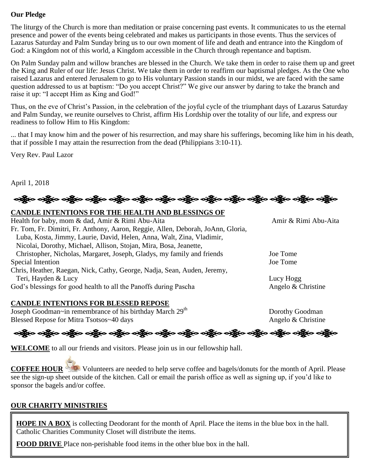#### **Our Pledge**

The liturgy of the Church is more than meditation or praise concerning past events. It communicates to us the eternal presence and power of the events being celebrated and makes us participants in those events. Thus the services of Lazarus Saturday and Palm Sunday bring us to our own moment of life and death and entrance into the Kingdom of God: a Kingdom not of this world, a Kingdom accessible in the Church through repentance and baptism.

On Palm Sunday palm and willow branches are blessed in the Church. We take them in order to raise them up and greet the King and Ruler of our life: Jesus Christ. We take them in order to reaffirm our baptismal pledges. As the One who raised Lazarus and entered Jerusalem to go to His voluntary Passion stands in our midst, we are faced with the same question addressed to us at baptism: "Do you accept Christ?" We give our answer by daring to take the branch and raise it up: "I accept Him as King and God!"

Thus, on the eve of Christ's Passion, in the celebration of the joyful cycle of the triumphant days of Lazarus Saturday and Palm Sunday, we reunite ourselves to Christ, affirm His Lordship over the totality of our life, and express our readiness to follow Him to His Kingdom:

... that I may know him and the power of his resurrection, and may share his sufferings, becoming like him in his death, that if possible I may attain the resurrection from the dead (Philippians 3:10-11).

Very Rev. Paul Lazor

April 1, 2018



#### **CANDLE INTENTIONS FOR THE HEALTH AND BLESSINGS OF**

| Health for baby, mom & dad, Amir & Rimi Abu-Aita                                 | Amir & Rimi Abu-Aita |
|----------------------------------------------------------------------------------|----------------------|
| Fr. Tom, Fr. Dimitri, Fr. Anthony, Aaron, Reggie, Allen, Deborah, JoAnn, Gloria, |                      |
| Luba, Kosta, Jimmy, Laurie, David, Helen, Anna, Walt, Zina, Vladimir,            |                      |
| Nicolai, Dorothy, Michael, Allison, Stojan, Mira, Bosa, Jeanette,                |                      |
| Christopher, Nicholas, Margaret, Joseph, Gladys, my family and friends           | Joe Tome             |
| Special Intention                                                                | Joe Tome             |
| Chris, Heather, Raegan, Nick, Cathy, George, Nadja, Sean, Auden, Jeremy,         |                      |
| Teri, Hayden & Lucy                                                              | Lucy Hogg            |
| God's blessings for good health to all the Panoffs during Pascha                 | Angelo & Christine   |
|                                                                                  |                      |

#### **CANDLE INTENTIONS FOR BLESSED REPOSE**

Joseph Goodman~in remembrance of his birthday March 29<sup>th</sup> Dorothy Goodman Blessed Repose for Mitra Tsotsos~40 days Angelo & Christine

ခရွို့လ ခရွို့လ ခရွိမ် ပည့်လ ခရွိပ် သန္တို့လ ခရွိပ် သန္တို့လ ခရွိပ် သန္တို့လ ခရွိပ် သန္တို့လ ခရွိပ် သန္တို့လ ခ

**WELCOME** to all our friends and visitors. Please join us in our fellowship hall.

**COFFEE HOUR** Volunteers are needed to help serve coffee and bagels/donuts for the month of April. Please see the sign-up sheet outside of the kitchen. Call or email the parish office as well as signing up, if you'd like to sponsor the bagels and/or coffee.

#### **OUR CHARITY MINISTRIES**

**HOPE IN A BOX** is collecting Deodorant for the month of April. Place the items in the blue box in the hall. Catholic Charities Community Closet will distribute the items.

**FOOD DRIVE** Place non-perishable food items in the other blue box in the hall.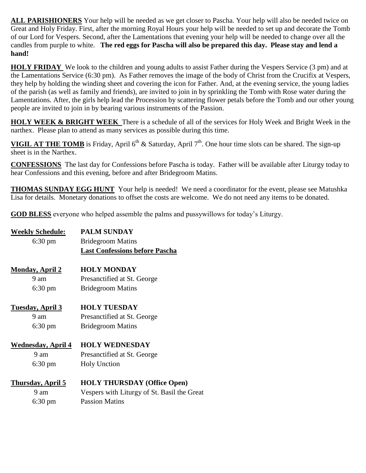**ALL PARISHIONERS** Your help will be needed as we get closer to Pascha. Your help will also be needed twice on Great and Holy Friday. First, after the morning Royal Hours your help will be needed to set up and decorate the Tomb of our Lord for Vespers. Second, after the Lamentations that evening your help will be needed to change over all the candles from purple to white. **The red eggs for Pascha will also be prepared this day. Please stay and lend a hand!**

**HOLY FRIDAY** We look to the children and young adults to assist Father during the Vespers Service (3 pm) and at the Lamentations Service (6:30 pm). As Father removes the image of the body of Christ from the Crucifix at Vespers, they help by holding the winding sheet and covering the icon for Father. And, at the evening service, the young ladies of the parish (as well as family and friends), are invited to join in by sprinkling the Tomb with Rose water during the Lamentations. After, the girls help lead the Procession by scattering flower petals before the Tomb and our other young people are invited to join in by bearing various instruments of the Passion.

**HOLY WEEK & BRIGHT WEEK** There is a schedule of all of the services for Holy Week and Bright Week in the narthex. Please plan to attend as many services as possible during this time.

**VIGIL AT THE TOMB** is Friday, April 6<sup>th</sup> & Saturday, April 7<sup>th</sup>. One hour time slots can be shared. The sign-up sheet is in the Narthex.

**CONFESSIONS** The last day for Confessions before Pascha is today. Father will be available after Liturgy today to hear Confessions and this evening, before and after Bridegroom Matins.

**THOMAS SUNDAY EGG HUNT** Your help is needed! We need a coordinator for the event, please see Matushka Lisa for details. Monetary donations to offset the costs are welcome. We do not need any items to be donated.

**GOD BLESS** everyone who helped assemble the palms and pussywillows for today's Liturgy.

| <b>Weekly Schedule:</b>    | <b>PALM SUNDAY</b>                          |
|----------------------------|---------------------------------------------|
| $6:30 \text{ pm}$          | <b>Bridegroom Matins</b>                    |
|                            | <b>Last Confessions before Pascha</b>       |
| <b>Monday, April 2</b>     | <b>HOLY MONDAY</b>                          |
| 9 am                       | Presanctified at St. George                 |
| $6:30 \text{ pm}$          | <b>Bridegroom Matins</b>                    |
| <u>Tuesday, April 3</u>    | <b>HOLY TUESDAY</b>                         |
| $9 \text{ am}$             | Presanctified at St. George                 |
| $6:30 \text{ pm}$          | <b>Bridegroom Matins</b>                    |
| <u> Wednesday, April 4</u> | <b>HOLY WEDNESDAY</b>                       |
| 9 am                       | Presanctified at St. George                 |
| $6:30 \text{ pm}$          | <b>Holy Unction</b>                         |
| <u>Thursday, April 5</u>   | <b>HOLY THURSDAY (Office Open)</b>          |
| 9 am                       | Vespers with Liturgy of St. Basil the Great |
| $6:30 \text{ pm}$          | <b>Passion Matins</b>                       |
|                            |                                             |